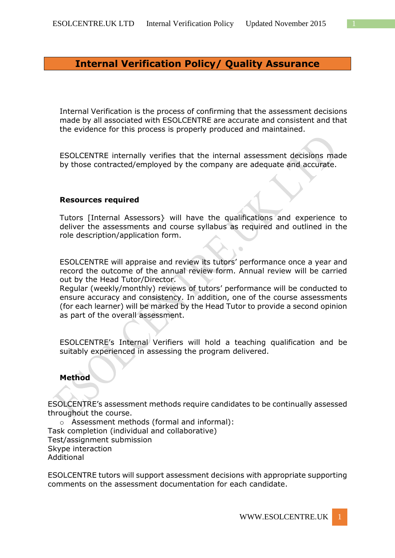## **Internal Verification Policy/ Quality Assurance**

Internal Verification is the process of confirming that the assessment decisions made by all associated with ESOLCENTRE are accurate and consistent and that the evidence for this process is properly produced and maintained.

[ESOLCENTRE](http://www.esolcentre.uk/) internally verifies that the internal assessment decisions made by those contracted/employed by the company are adequate and accurate.

## **Resources required**

Tutors [Internal Assessors} will have the qualifications and experience to deliver the assessments and course syllabus as required and outlined in the role description/application form.

ESOLCENTRE will appraise and review its tutors' performance once a year and record the outcome of the annual review form. Annual review will be carried out by the Head Tutor/Director.

Regular (weekly/monthly) reviews of tutors' performance will be conducted to ensure accuracy and consistency. In addition, one of the course assessments (for each learner) will be marked by the Head Tutor to provide a second opinion as part of the overall assessment.

ESOLCENTRE's Internal Verifiers will hold a teaching qualification and be suitably experienced in assessing the program delivered.

## **Method**

ESOLCENTRE's assessment methods require candidates to be continually assessed throughout the course.

o Assessment methods (formal and informal): Task completion (individual and collaborative) Test/assignment submission Skype interaction Additional

ESOLCENTRE tutors will support assessment decisions with appropriate supporting comments on the assessment documentation for each candidate.